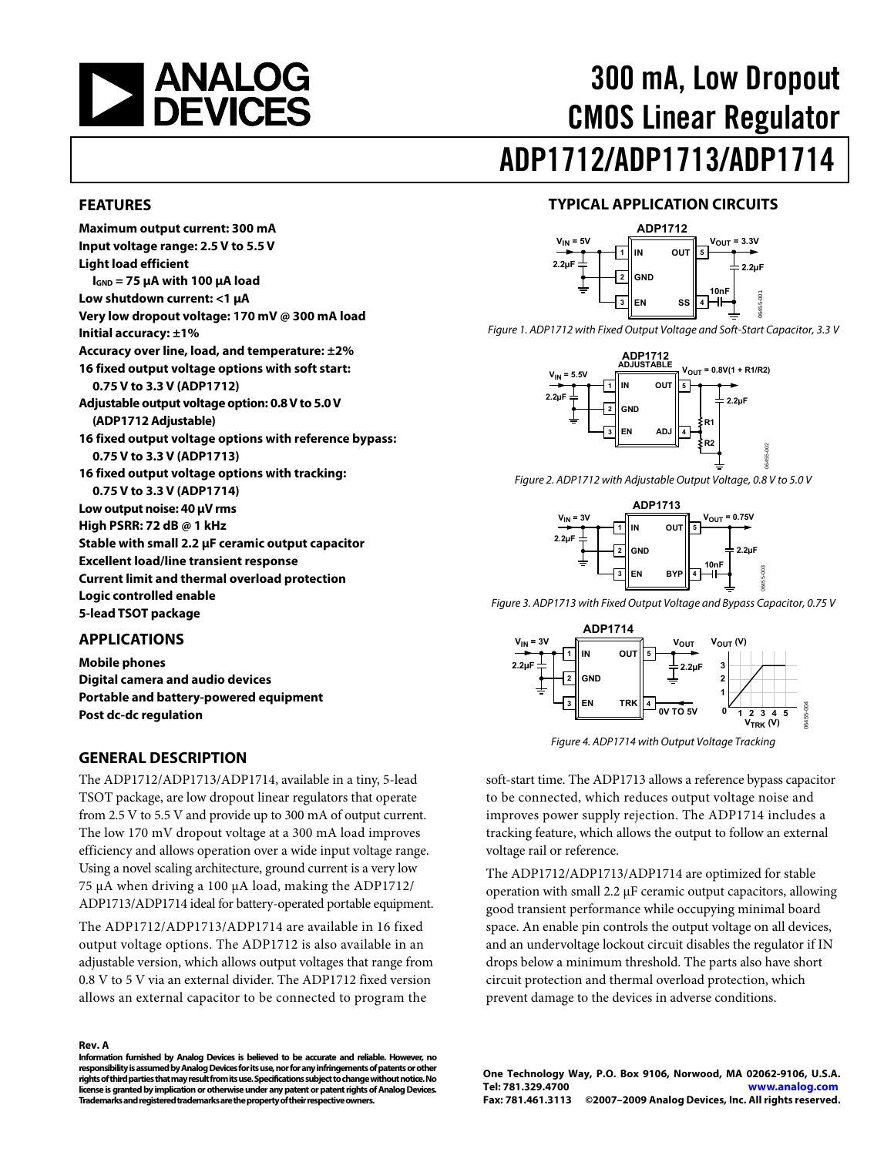<span id="page-0-0"></span>

# 300 mA, Low Dropout CMOS Linear Regulator ADP1712/ADP1713/ADP1714

#### **FEATURES**

**Maximum output current: 300 mA Input voltage range: 2.5 V to 5.5 V Light load efficient IGND = 75 μA with 100 μA load Low shutdown current: <1 μA Very low dropout voltage: 170 mV @ 300 mA load Initial accuracy: ±1% Accuracy over line, load, and temperature: ±2% 16 fixed output voltage options with soft start: 0.75 V to 3.3 V (ADP1712) Adjustable output voltage option: 0.8 V to 5.0 V (ADP1712 Adjustable) 16 fixed output voltage options with reference bypass: 0.75 V to 3.3 V (ADP1713) 16 fixed output voltage options with tracking: 0.75 V to 3.3 V (ADP1714) Low output noise: 40 μV rms High PSRR: 72 dB @ 1 kHz Stable with small 2.2 μF ceramic output capacitor Excellent load/line transient response Current limit and thermal overload protection Logic controlled enable 5-lead TSOT package** 

#### **APPLICATIONS**

**Mobile phones Digital camera and audio devices Portable and battery-powered equipment Post dc-dc regulation** 

#### **GENERAL DESCRIPTION**

The ADP1712/ADP1713/ADP1714, available in a tiny, 5-lead TSOT package, are low dropout linear regulators that operate from 2.5 V to 5.5 V and provide up to 300 mA of output current. The low 170 mV dropout voltage at a 300 mA load improves efficiency and allows operation over a wide input voltage range. Using a novel scaling architecture, ground current is a very low 75 μA when driving a 100 μA load, making the ADP1712/ ADP1713/ADP1714 ideal for battery-operated portable equipment.

The ADP1712/ADP1713/ADP1714 are available in 16 fixed output voltage options. The ADP1712 is also available in an adjustable version, which allows output voltages that range from 0.8 V to 5 V via an external divider. The ADP1712 fixed version allows an external capacitor to be connected to program the

#### **Rev. A**

**Information furnished by Analog Devices is believed to be accurate and reliable. However, no responsibility is assumed by Analog Devices for its use, nor for any infringements of patents or other rights of third parties that may result from its use. Specifications subject to change without notice. No license is granted by implication or otherwise under any patent or patent rights of Analog Devices. Trademarks and registered trademarks are the property of their respective owners.** 

#### **TYPICAL APPLICATION CIRCUITS**



Figure 1. ADP1712 with Fixed Output Voltage and Soft-Start Capacitor, 3.3 V



Figure 2. ADP1712 with Adjustable Output Voltage, 0.8 V to 5.0 V



Figure 3. ADP1713 with Fixed Output Voltage and Bypass Capacitor, 0.75 V



Figure 4. ADP1714 with Output Voltage Tracking

soft-start time. The ADP1713 allows a reference bypass capacitor to be connected, which reduces output voltage noise and improves power supply rejection. The ADP1714 includes a tracking feature, which allows the output to follow an external voltage rail or reference.

The ADP1712/ADP1713/ADP1714 are optimized for stable operation with small 2.2 μF ceramic output capacitors, allowing good transient performance while occupying minimal board space. An enable pin controls the output voltage on all devices, and an undervoltage lockout circuit disables the regulator if IN drops below a minimum threshold. The parts also have short circuit protection and thermal overload protection, which prevent damage to the devices in adverse conditions.

**One Technology Way, P.O. Box 9106, Norwood, MA 02062-9106, U.S.A. Tel: 781.329.4700 www.analog.com Fax: 781.461.3113 ©2007–2009 Analog Devices, Inc. All rights reserved.**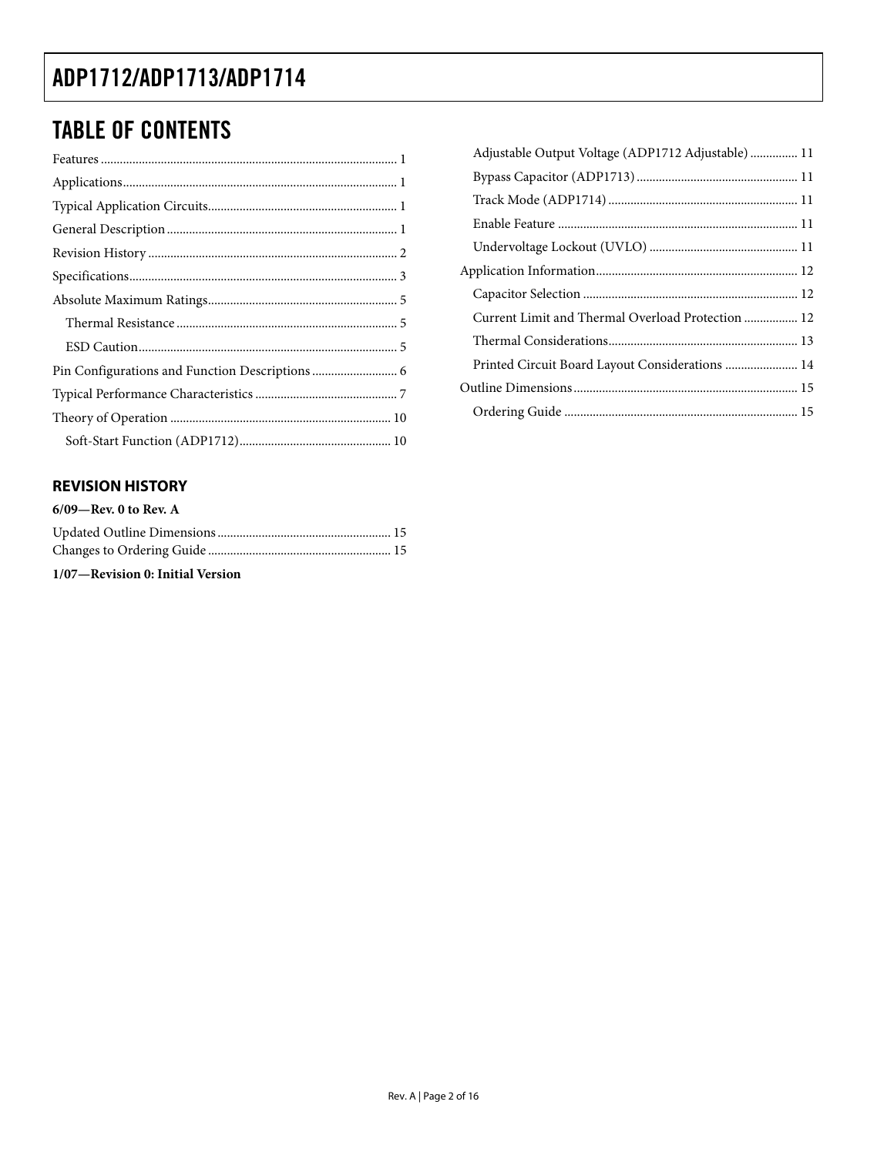## TABLE OF CONTENTS

### **REVISION HISTORY**

| $6/09$ —Rev. 0 to Rev. A         |  |
|----------------------------------|--|
|                                  |  |
|                                  |  |
| 1/07—Revision 0: Initial Version |  |

| Adjustable Output Voltage (ADP1712 Adjustable) 11 |
|---------------------------------------------------|
|                                                   |
|                                                   |
|                                                   |
|                                                   |
|                                                   |
|                                                   |
| Current Limit and Thermal Overload Protection  12 |
|                                                   |
|                                                   |
|                                                   |
|                                                   |
|                                                   |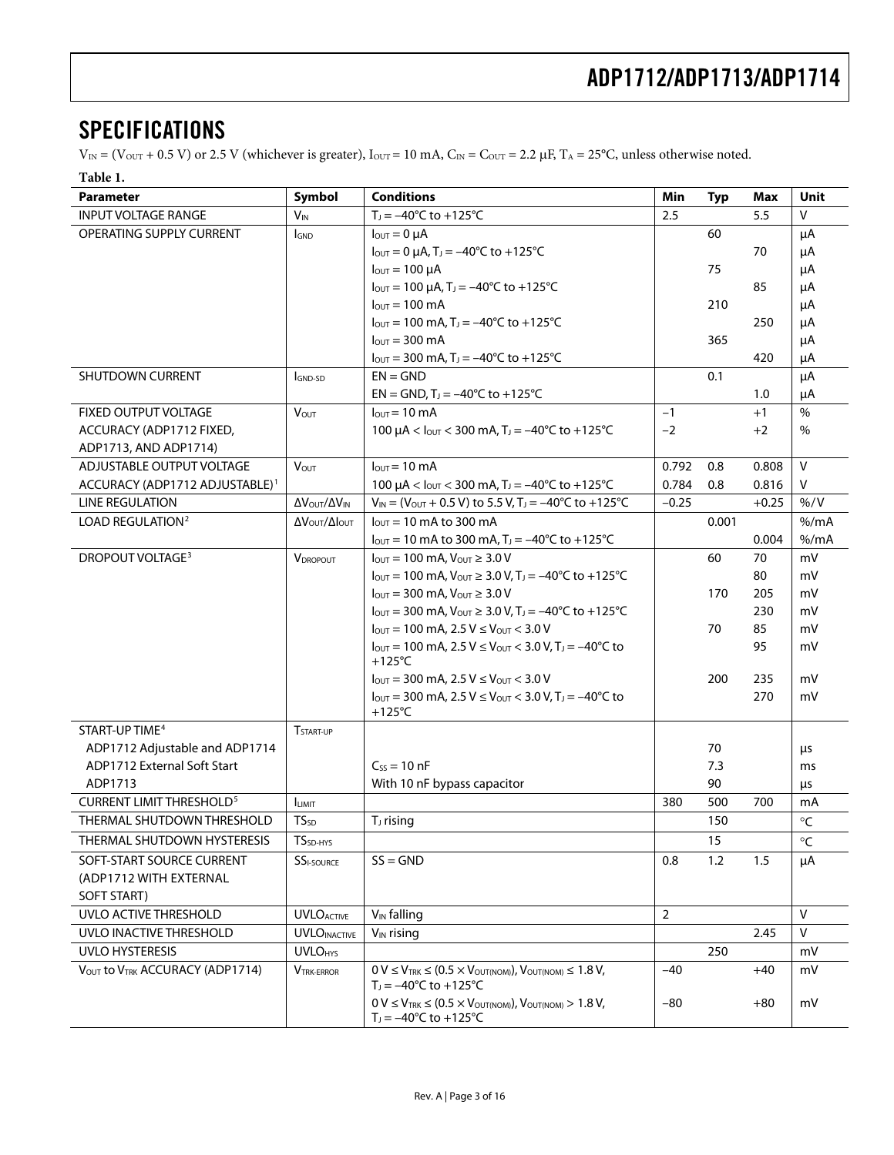## <span id="page-2-0"></span>**SPECIFICATIONS**

 $V_{IN} = (V_{OUT} + 0.5 V)$  or 2.5 V (whichever is greater),  $I_{OUT} = 10$  mA,  $C_{IN} = C_{OUT} = 2.2 \mu F$ ,  $T_A = 25^{\circ}C$ , unless otherwise noted.

#### **Table 1.**

| <b>Parameter</b>                           | Symbol                    | <b>Conditions</b>                                                                                                                         | Min            | <b>Typ</b> | Max     | Unit                |
|--------------------------------------------|---------------------------|-------------------------------------------------------------------------------------------------------------------------------------------|----------------|------------|---------|---------------------|
| <b>INPUT VOLTAGE RANGE</b>                 | <b>V<sub>IN</sub></b>     | $T_J = -40^{\circ}C$ to $+125^{\circ}C$                                                                                                   | 2.5            |            | 5.5     | $\vee$              |
| OPERATING SUPPLY CURRENT                   | <b>I</b> GND              | $I_{\text{OUT}} = 0 \mu A$                                                                                                                |                | 60         |         | μA                  |
|                                            |                           | $I_{\text{OUT}} = 0 \mu A$ , T <sub>J</sub> = -40°C to +125°C                                                                             |                |            | 70      | μA                  |
|                                            |                           | $I_{\text{OUT}} = 100 \mu A$                                                                                                              |                | 75         |         | μA                  |
|                                            |                           | $I_{\text{OUT}} = 100 \,\mu\text{A}$ , T <sub>J</sub> = -40°C to +125°C                                                                   |                |            | 85      | μA                  |
|                                            |                           | $I_{\text{OUT}} = 100 \text{ mA}$                                                                                                         |                | 210        |         | μA                  |
|                                            |                           | $I_{\text{OUT}} = 100 \text{ mA}$ , T <sub>J</sub> = -40°C to +125°C                                                                      |                |            | 250     | μA                  |
|                                            |                           | $I_{\text{OUT}}$ = 300 mA                                                                                                                 |                | 365        |         | μA                  |
|                                            |                           | $I_{\text{OUT}} = 300 \text{ mA}$ , T <sub>J</sub> = -40°C to +125°C                                                                      |                |            | 420     | μA                  |
| SHUTDOWN CURRENT                           | GND-SD                    | $EN = GND$                                                                                                                                |                | 0.1        |         | μA                  |
|                                            |                           | $EN = GND$ , $T_1 = -40^{\circ}C$ to $+125^{\circ}C$                                                                                      |                |            | 1.0     | μA                  |
| FIXED OUTPUT VOLTAGE                       | <b>VOUT</b>               | $I_{\text{OUT}} = 10 \text{ mA}$                                                                                                          | $-1$           |            | $+1$    | $\%$                |
| ACCURACY (ADP1712 FIXED,                   |                           | 100 $\mu$ A < $I_{\text{OUT}}$ < 300 mA, T <sub>J</sub> = -40°C to +125°C                                                                 | $-2$           |            | $+2$    | $\%$                |
| ADP1713, AND ADP1714)                      |                           |                                                                                                                                           |                |            |         |                     |
| ADJUSTABLE OUTPUT VOLTAGE                  | <b>VOUT</b>               | $I_{\text{OUT}} = 10 \text{ mA}$                                                                                                          | 0.792          | 0.8        | 0.808   | $\vee$              |
| ACCURACY (ADP1712 ADJUSTABLE) <sup>1</sup> |                           | 100 $\mu$ A < $I_{\text{OUT}}$ < 300 mA, T <sub>J</sub> = -40°C to +125°C                                                                 | 0.784          | 0.8        | 0.816   | V                   |
| <b>LINE REGULATION</b>                     | Δ VOUT/ Δ VIN             | $V_{IN} = (V_{OUT} + 0.5 V)$ to 5.5 V, T <sub>J</sub> = -40°C to +125°C                                                                   | $-0.25$        |            | $+0.25$ | % / V               |
| LOAD REGULATION <sup>2</sup>               | Δ V ουτ/ΔΙουτ             | $l_{OUT}$ = 10 mA to 300 mA                                                                                                               |                | 0.001      |         | % /mA               |
|                                            |                           | $I_{\text{OUT}}$ = 10 mA to 300 mA, T <sub>J</sub> = -40°C to +125°C                                                                      |                |            | 0.004   | % /mA               |
| DROPOUT VOLTAGE <sup>3</sup>               | <b>VDROPOUT</b>           | $I_{\text{OUT}} = 100 \text{ mA}$ , $V_{\text{OUT}} \geq 3.0 \text{ V}$                                                                   |                | 60         | 70      | mV                  |
|                                            |                           | $I_{\text{OUT}} = 100 \text{ mA}$ , $V_{\text{OUT}} \ge 3.0 \text{ V}$ , $T_{\text{J}} = -40^{\circ} \text{C}$ to $+125^{\circ} \text{C}$ |                |            | 80      | mV                  |
|                                            |                           | $I_{\text{OUT}} = 300 \text{ mA}$ , $V_{\text{OUT}} \ge 3.0 \text{ V}$                                                                    |                | 170        | 205     | mV                  |
|                                            |                           | $I_{\text{OUT}} = 300 \text{ mA}$ , $V_{\text{OUT}} \ge 3.0 \text{ V}$ , $T_{\text{J}} = -40 \degree \text{C}$ to $+125 \degree \text{C}$ |                |            | 230     | mV                  |
|                                            |                           | $I_{\text{OUT}} = 100 \text{ mA}$ , 2.5 V $\leq$ $V_{\text{OUT}} < 3.0 \text{ V}$                                                         |                | 70         | 85      | mV                  |
|                                            |                           | $I_{\text{OUT}} = 100 \text{ mA}$ , 2.5 V $\leq$ V <sub>OUT</sub> $<$ 3.0 V, T <sub>J</sub> = -40 <sup>o</sup> C to<br>$+125^{\circ}$ C   |                |            | 95      | mV                  |
|                                            |                           | $I_{\text{OUT}} = 300 \text{ mA}$ , 2.5 V $\leq$ V <sub>OUT</sub> $< 3.0 \text{ V}$                                                       |                | 200        | 235     | mV                  |
|                                            |                           | $I_{\text{OUT}} = 300 \text{ mA}$ , 2.5 V $\leq$ V <sub>OUT</sub> $<$ 3.0 V, T <sub>J</sub> = -40 <sup>o</sup> C to<br>$+125^{\circ}$ C   |                |            | 270     | mV                  |
| START-UP TIME <sup>4</sup>                 | T <sub>START-UP</sub>     |                                                                                                                                           |                |            |         |                     |
| ADP1712 Adjustable and ADP1714             |                           |                                                                                                                                           |                | 70         |         | μs                  |
| ADP1712 External Soft Start                |                           | $C_{SS} = 10$ nF                                                                                                                          |                | 7.3        |         | ms                  |
| ADP1713                                    |                           | With 10 nF bypass capacitor                                                                                                               |                | 90         |         | $\mu$ s             |
| <b>CURRENT LIMIT THRESHOLD<sup>5</sup></b> | <b>ILIMIT</b>             |                                                                                                                                           | 380            | 500        | 700     | mA                  |
| THERMAL SHUTDOWN THRESHOLD                 | $TS_{SD}$                 | T <sub>J</sub> rising                                                                                                                     |                | 150        |         | $\circ$ C           |
| THERMAL SHUTDOWN HYSTERESIS                | $TSSD-HYS$                |                                                                                                                                           |                | 15         |         | $^\circ \textsf{C}$ |
| SOFT-START SOURCE CURRENT                  | <b>SSI-SOURCE</b>         | $SS = GND$                                                                                                                                | 0.8            | 1.2        | 1.5     | μA                  |
| (ADP1712 WITH EXTERNAL                     |                           |                                                                                                                                           |                |            |         |                     |
| SOFT START)                                |                           |                                                                                                                                           |                |            |         |                     |
| UVLO ACTIVE THRESHOLD                      | <b>UVLOACTIVE</b>         | V <sub>IN</sub> falling                                                                                                                   | $\overline{2}$ |            |         | $\vee$              |
| UVLO INACTIVE THRESHOLD                    | <b>UVLOINACTIVE</b>       | $V_{IN}$ rising                                                                                                                           |                |            | 2.45    | $\vee$              |
| <b>UVLO HYSTERESIS</b>                     | <b>UVLO<sub>HYS</sub></b> |                                                                                                                                           |                | 250        |         | mV                  |
| VOUT to VTRK ACCURACY (ADP1714)            | <b>VTRK-ERROR</b>         | $0 V \leq V_{TRK} \leq (0.5 \times V_{OUT(NOM)})$ , $V_{OUT(NOM)} \leq 1.8 V$ ,<br>$T_1 = -40^{\circ}C$ to $+125^{\circ}C$                | -40            |            | $+40$   | mV                  |
|                                            |                           | $0 V \leq V_{TRK} \leq (0.5 \times V_{OUT(NOM)})$ , $V_{OUT(NOM)} > 1.8 V$ ,<br>$T_J = -40^{\circ}C$ to $+125^{\circ}C$                   | $-80$          |            | $+80$   | mV                  |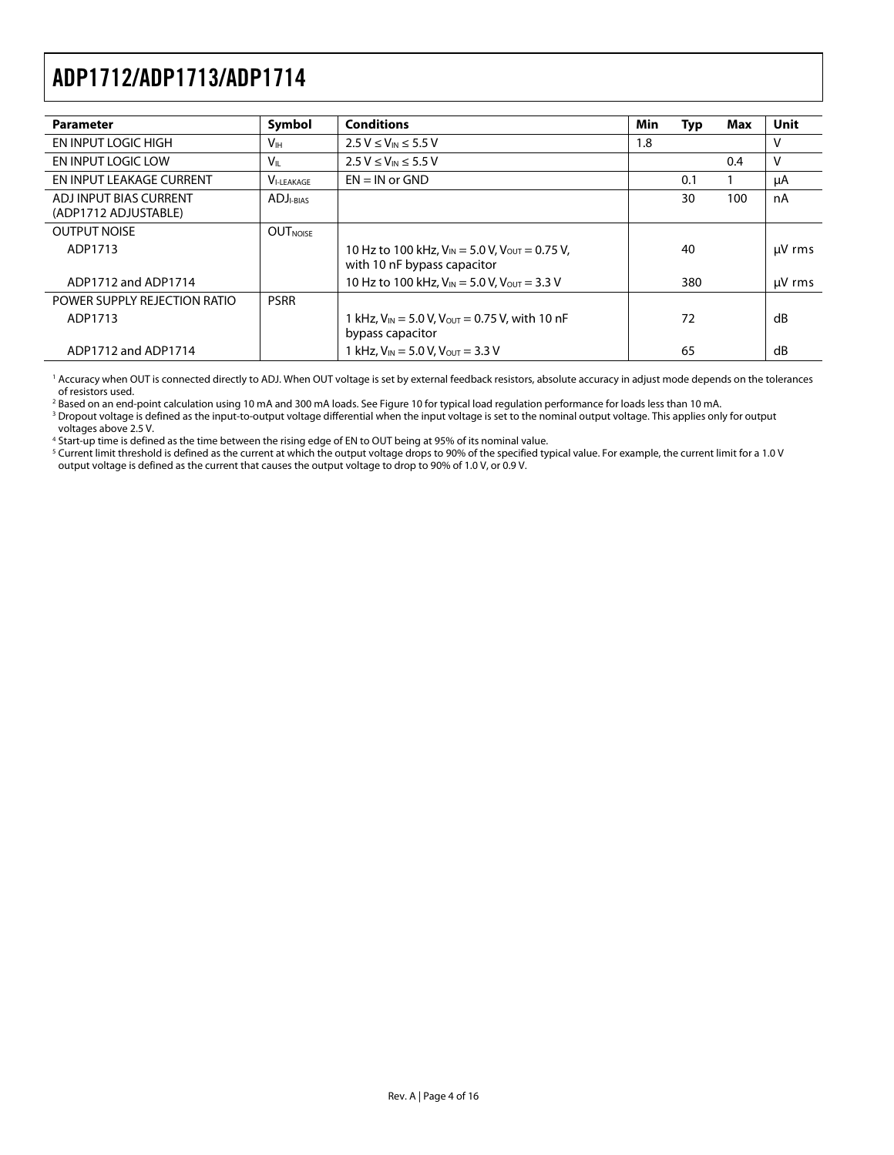<span id="page-3-0"></span>

| <b>Parameter</b>                               | Symbol                       | <b>Conditions</b>                                                                      | Min | Typ | Max | Unit   |
|------------------------------------------------|------------------------------|----------------------------------------------------------------------------------------|-----|-----|-----|--------|
| EN INPUT LOGIC HIGH                            | <b>V</b> <sub>IН</sub>       | $2.5 V \le V_{IN} \le 5.5 V$                                                           | 1.8 |     |     | ν      |
| EN INPUT LOGIC LOW                             | Vıl.                         | $2.5 V \le V_{IN} \le 5.5 V$                                                           |     |     | 0.4 | ٧      |
| EN INPUT LEAKAGE CURRENT                       | <b>VI-LEAKAGE</b>            | $EN = IN$ or $GND$                                                                     |     | 0.1 |     | μA     |
| ADJ INPUT BIAS CURRENT<br>(ADP1712 ADJUSTABLE) | <b>ADJ</b> <sub>I-BIAS</sub> |                                                                                        |     | 30  | 100 | nA     |
| <b>OUTPUT NOISE</b>                            | <b>OUT</b> NOISE             |                                                                                        |     |     |     |        |
| ADP1713                                        |                              | 10 Hz to 100 kHz, $V_{IN}$ = 5.0 V, $V_{OUT}$ = 0.75 V,<br>with 10 nF bypass capacitor |     | 40  |     | µV rms |
| ADP1712 and ADP1714                            |                              | 10 Hz to 100 kHz, $V_{IN}$ = 5.0 V, $V_{OUT}$ = 3.3 V                                  |     | 380 |     | µV rms |
| POWER SUPPLY REJECTION RATIO                   | <b>PSRR</b>                  |                                                                                        |     |     |     |        |
| ADP1713                                        |                              | 1 kHz, $V_{IN}$ = 5.0 V, $V_{OUT}$ = 0.75 V, with 10 nF<br>bypass capacitor            |     | 72  |     | dB     |
| ADP1712 and ADP1714                            |                              | 1 kHz, $V_{\text{IN}} = 5.0$ V, $V_{\text{OUT}} = 3.3$ V                               |     | 65  |     | dB     |

1 Accuracy when OUT is connected directly to ADJ. When OUT voltage is set by external feedback resistors, absolute accuracy in adjust mode depends on the tolerances of resistors used.

<sup>2</sup> Based on an end-point calculation using 10 mA and 300 mA loads. See Figure 10 for typical load regulation performance for loads less than 10 mA.

<sup>2</sup> Based on an end-point calculation using 10 mA and 300 mA loads. See Figure 10 for typical load regulation performance for loads less than 10 mA.<br><sup>3</sup> Dropout voltage is defined as the input-to-output voltage differentia voltages above 2.5 V.

4 Start-up time is defined as the time between the rising edge of EN to OUT being at 95% of its nominal value.

 $^5$  Current limit threshold is defined as the current at which the output voltage drops to 90% of the specified typical value. For example, the current limit for a 1.0 V output voltage is defined as the current that causes the output voltage to drop to 90% of 1.0 V, or 0.9 V.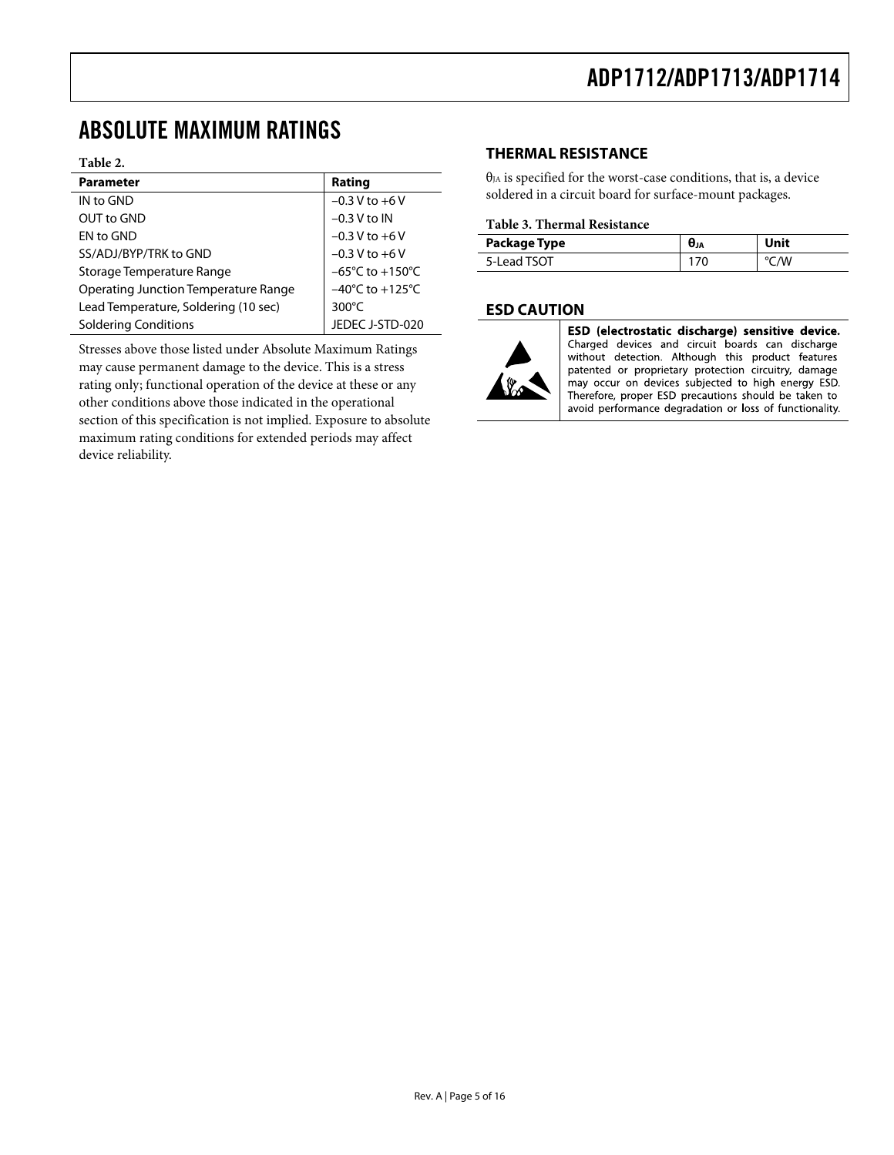### <span id="page-4-1"></span><span id="page-4-0"></span>ABSOLUTE MAXIMUM RATINGS

#### **Table 2.**

| <b>Parameter</b>                            | Rating                              |
|---------------------------------------------|-------------------------------------|
| IN to GND                                   | $-0.3 V$ to $+6 V$                  |
| OUT to GND                                  | $-0.3$ V to IN                      |
| EN to GND                                   | $-0.3 V$ to $+6V$                   |
| SS/ADJ/BYP/TRK to GND                       | $-0.3 V$ to $+6V$                   |
| Storage Temperature Range                   | $-65^{\circ}$ C to $+150^{\circ}$ C |
| <b>Operating Junction Temperature Range</b> | $-40^{\circ}$ C to $+125^{\circ}$ C |
| Lead Temperature, Soldering (10 sec)        | $300^{\circ}$ C                     |
| <b>Soldering Conditions</b>                 | JEDEC J-STD-020                     |

Stresses above those listed under Absolute Maximum Ratings may cause permanent damage to the device. This is a stress rating only; functional operation of the device at these or any other conditions above those indicated in the operational section of this specification is not implied. Exposure to absolute maximum rating conditions for extended periods may affect device reliability.

#### **THERMAL RESISTANCE**

 $θ<sub>JA</sub>$  is specified for the worst-case conditions, that is, a device soldered in a circuit board for surface-mount packages.

#### **Table 3. Thermal Resistance**

| Package Type | UJA | Unit |
|--------------|-----|------|
| 5-Lead TSOT  | 170 | °C/W |

#### **ESD CAUTION**



ESD (electrostatic discharge) sensitive device. Charged devices and circuit boards can discharge without detection. Although this product features patented or proprietary protection circuitry, damage may occur on devices subjected to high energy ESD. Therefore, proper ESD precautions should be taken to avoid performance degradation or loss of functionality.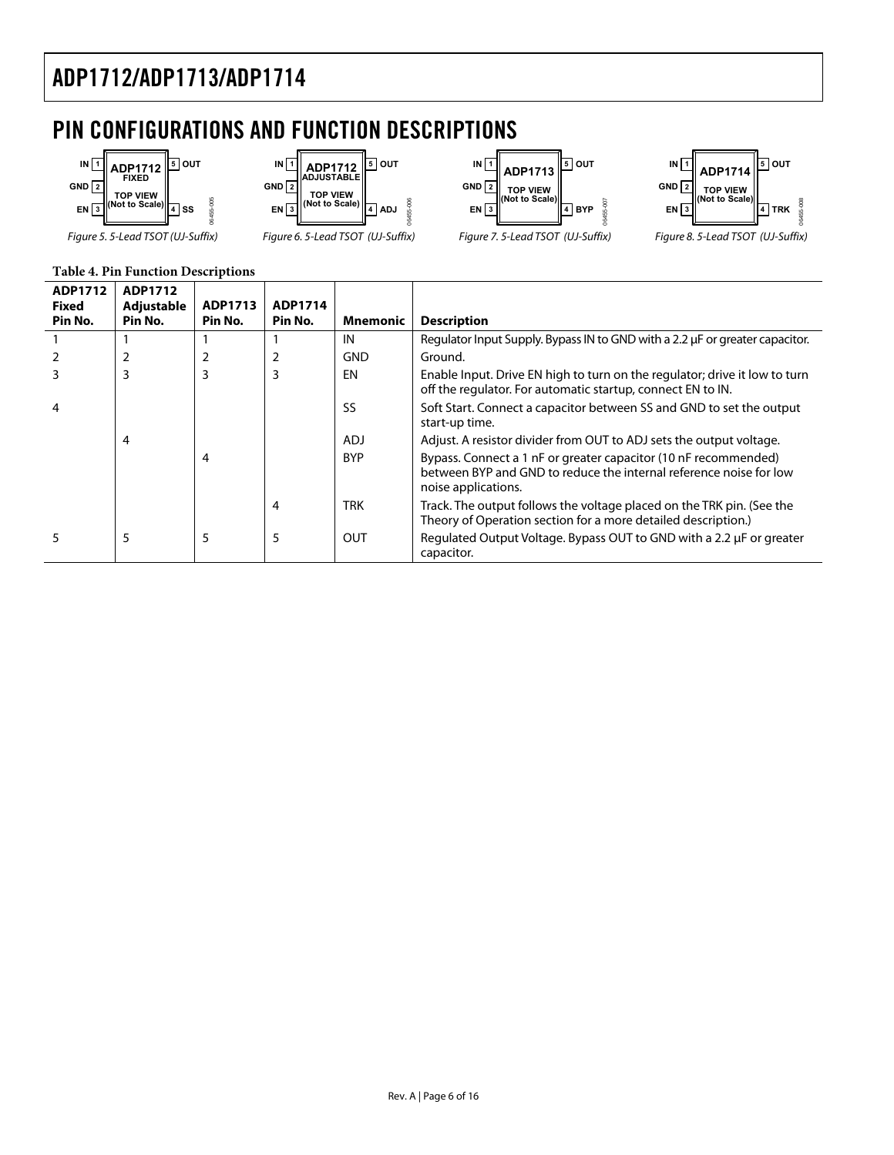## <span id="page-5-0"></span>PIN CONFIGURATIONS AND FUNCTION DESCRIPTIONS



#### **Table 4. Pin Function Descriptions**

| ADP1712<br><b>Fixed</b><br>Pin No. | ADP1712<br>Adjustable<br>Pin No. | ADP1713<br>Pin No. | ADP1714<br>Pin No. | Mnemonic   | <b>Description</b>                                                                                                                                           |
|------------------------------------|----------------------------------|--------------------|--------------------|------------|--------------------------------------------------------------------------------------------------------------------------------------------------------------|
|                                    |                                  |                    |                    | IN         | Regulator Input Supply. Bypass IN to GND with a 2.2 µF or greater capacitor.                                                                                 |
|                                    |                                  |                    |                    | <b>GND</b> | Ground.                                                                                                                                                      |
|                                    | 3                                | 3                  | 3                  | EN         | Enable Input. Drive EN high to turn on the regulator; drive it low to turn<br>off the regulator. For automatic startup, connect EN to IN.                    |
|                                    |                                  |                    |                    | <b>SS</b>  | Soft Start. Connect a capacitor between SS and GND to set the output<br>start-up time.                                                                       |
|                                    | 4                                |                    |                    | <b>ADJ</b> | Adjust. A resistor divider from OUT to ADJ sets the output voltage.                                                                                          |
|                                    |                                  | 4                  |                    | <b>BYP</b> | Bypass. Connect a 1 nF or greater capacitor (10 nF recommended)<br>between BYP and GND to reduce the internal reference noise for low<br>noise applications. |
|                                    |                                  |                    | 4                  | <b>TRK</b> | Track. The output follows the voltage placed on the TRK pin. (See the<br>Theory of Operation section for a more detailed description.)                       |
|                                    | 5                                | 5                  | 5                  | <b>OUT</b> | Regulated Output Voltage. Bypass OUT to GND with a 2.2 µF or greater<br>capacitor.                                                                           |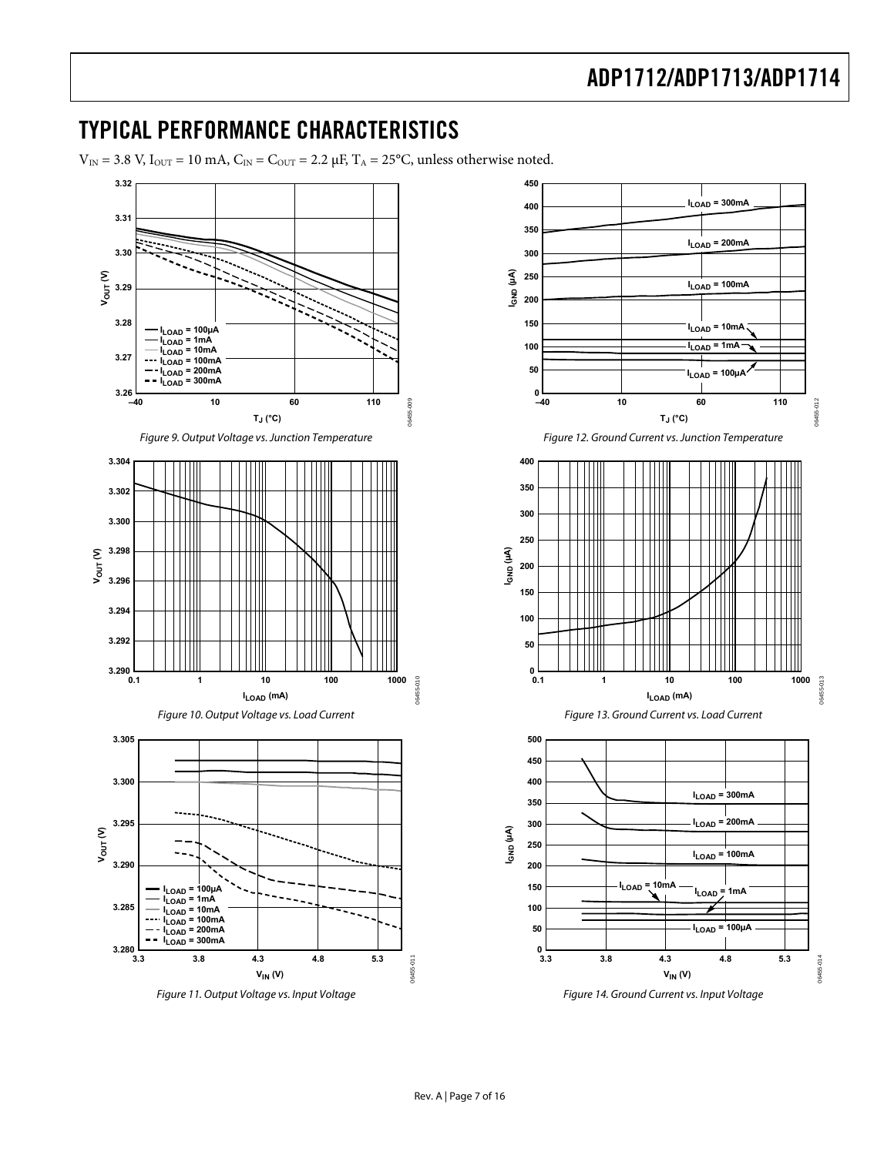### <span id="page-6-1"></span><span id="page-6-0"></span>TYPICAL PERFORMANCE CHARACTERISTICS

 $V_{\text{IN}} = 3.8 \text{ V}$ ,  $I_{\text{OUT}} = 10 \text{ mA}$ ,  $C_{\text{IN}} = C_{\text{OUT}} = 2.2 \mu\text{F}$ ,  $T_A = 25 \text{°C}$ , unless otherwise noted.



Figure 11. Output Voltage vs. Input Voltage



Figure 14. Ground Current vs. Input Voltage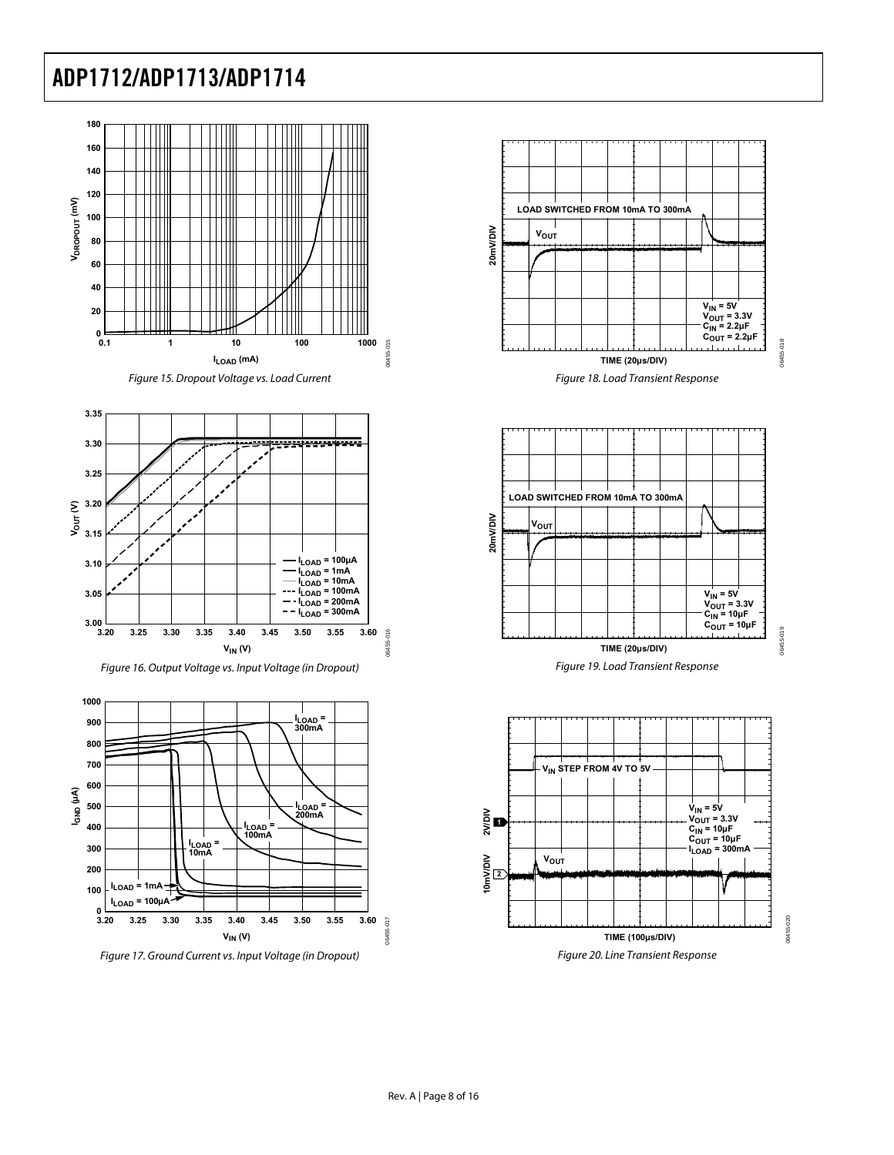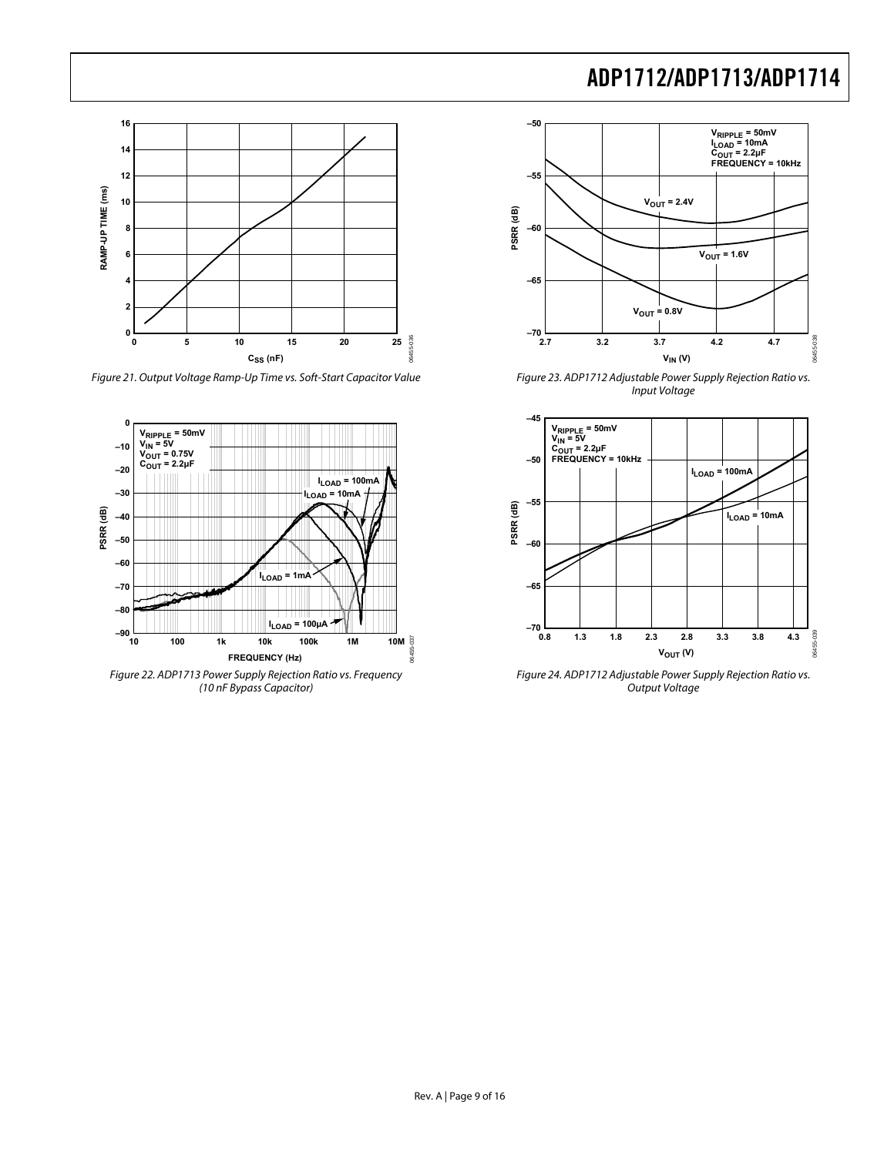

Figure 21. Output Voltage Ramp-Up Time vs. Soft-Start Capacitor Value



Figure 22. ADP1713 Power Supply Rejection Ratio vs. Frequency (10 nF Bypass Capacitor)



Figure 23. ADP1712 Adjustable Power Supply Rejection Ratio vs. Input Voltage



Figure 24. ADP1712 Adjustable Power Supply Rejection Ratio vs. Output Voltage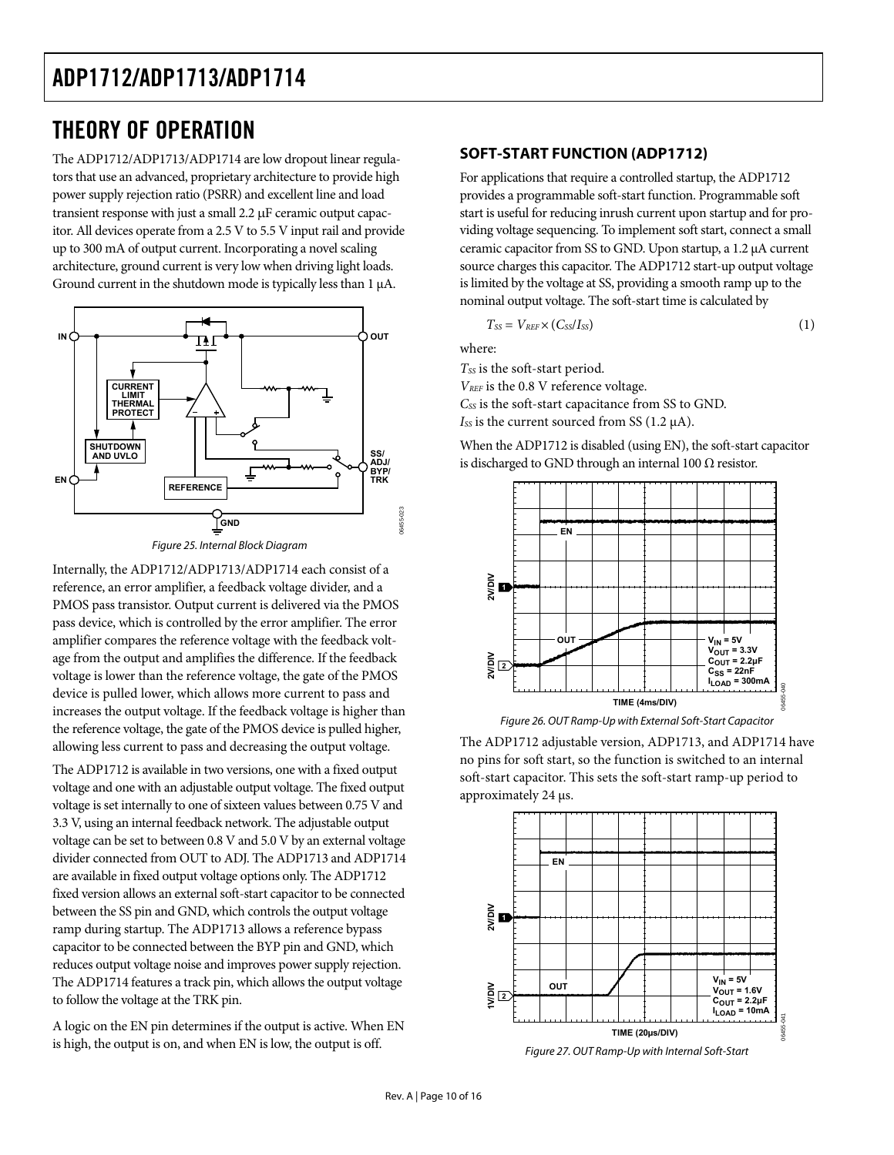## <span id="page-9-2"></span><span id="page-9-1"></span><span id="page-9-0"></span>THEORY OF OPERATION

The ADP1712/ADP1713/ADP1714 are low dropout linear regulators that use an advanced, proprietary architecture to provide high power supply rejection ratio (PSRR) and excellent line and load transient response with just a small 2.2 μF ceramic output capacitor. All devices operate from a 2.5 V to 5.5 V input rail and provide up to 300 mA of output current. Incorporating a novel scaling architecture, ground current is very low when driving light loads. Ground current in the shutdown mode is typically less than 1 μA.



Figure 25. Internal Block Diagram

Internally, the ADP1712/ADP1713/ADP1714 each consist of a reference, an error amplifier, a feedback voltage divider, and a PMOS pass transistor. Output current is delivered via the PMOS pass device, which is controlled by the error amplifier. The error amplifier compares the reference voltage with the feedback voltage from the output and amplifies the difference. If the feedback voltage is lower than the reference voltage, the gate of the PMOS device is pulled lower, which allows more current to pass and increases the output voltage. If the feedback voltage is higher than the reference voltage, the gate of the PMOS device is pulled higher, allowing less current to pass and decreasing the output voltage.

The ADP1712 is available in two versions, one with a fixed output voltage and one with an adjustable output voltage. The fixed output voltage is set internally to one of sixteen values between 0.75 V and 3.3 V, using an internal feedback network. The adjustable output voltage can be set to between 0.8 V and 5.0 V by an external voltage divider connected from OUT to ADJ. The ADP1713 and ADP1714 are available in fixed output voltage options only. The ADP1712 fixed version allows an external soft-start capacitor to be connected between the SS pin and GND, which controls the output voltage ramp during startup. The ADP1713 allows a reference bypass capacitor to be connected between the BYP pin and GND, which reduces output voltage noise and improves power supply rejection. The ADP1714 features a track pin, which allows the output voltage to follow the voltage at the TRK pin.

A logic on the EN pin determines if the output is active. When EN is high, the output is on, and when EN is low, the output is off.

#### **SOFT-START FUNCTION (ADP1712)**

For applications that require a controlled startup, the ADP1712 provides a programmable soft-start function. Programmable soft start is useful for reducing inrush current upon startup and for providing voltage sequencing. To implement soft start, connect a small ceramic capacitor from SS to GND. Upon startup, a 1.2 μA current source charges this capacitor. The ADP1712 start-up output voltage is limited by the voltage at SS, providing a smooth ramp up to the nominal output voltage. The soft-start time is calculated by

$$
T_{SS} = V_{REF} \times (C_{SS}/I_{SS})
$$
 (1)

where:

*TSS* is the soft-start period.

*VREF* is the 0.8 V reference voltage.

*CSS* is the soft-start capacitance from SS to GND.

*ISS* is the current sourced from SS (1.2 μA).

When the ADP1712 is disabled (using EN), the soft-start capacitor is discharged to GND through an internal 100  $\Omega$  resistor.



Figure 26. OUT Ramp-Up with External Soft-Start Capacitor

The ADP1712 adjustable version, ADP1713, and ADP1714 have no pins for soft start, so the function is switched to an internal soft-start capacitor. This sets the soft-start ramp-up period to approximately 24 μs.



Figure 27. OUT Ramp-Up with Internal Soft-Start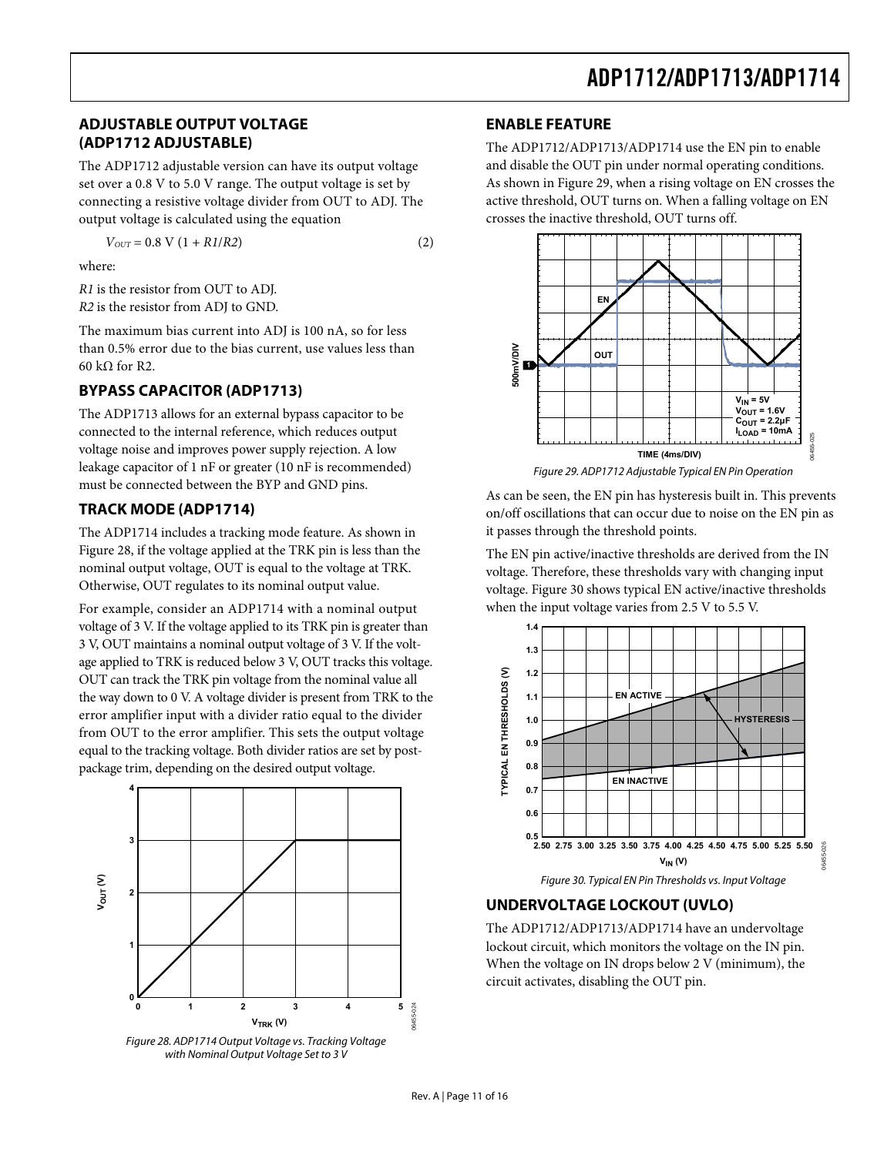### <span id="page-10-1"></span><span id="page-10-0"></span>**ADJUSTABLE OUTPUT VOLTAGE (ADP1712 ADJUSTABLE)**

The ADP1712 adjustable version can have its output voltage set over a 0.8 V to 5.0 V range. The output voltage is set by connecting a resistive voltage divider from OUT to ADJ. The output voltage is calculated using the equation

 $V_{OUT} = 0.8 \text{ V} (1 + R1/R2)$  (2)

where:

*R1* is the resistor from OUT to ADJ. *R2* is the resistor from ADI to GND.

The maximum bias current into ADJ is 100 nA, so for less than 0.5% error due to the bias current, use values less than 60 kΩ for R2.

### **BYPASS CAPACITOR (ADP1713)**

The ADP1713 allows for an external bypass capacitor to be connected to the internal reference, which reduces output voltage noise and improves power supply rejection. A low leakage capacitor of 1 nF or greater (10 nF is recommended) must be connected between the BYP and GND pins.

### <span id="page-10-3"></span>**TRACK MODE (ADP1714)**

The ADP1714 includes a tracking mode feature. As shown in [Figure 28](#page-10-2), if the voltage applied at the TRK pin is less than the nominal output voltage, OUT is equal to the voltage at TRK. Otherwise, OUT regulates to its nominal output value.

For example, consider an ADP1714 with a nominal output voltage of 3 V. If the voltage applied to its TRK pin is greater than 3 V, OUT maintains a nominal output voltage of 3 V. If the voltage applied to TRK is reduced below 3 V, OUT tracks this voltage. OUT can track the TRK pin voltage from the nominal value all the way down to 0 V. A voltage divider is present from TRK to the error amplifier input with a divider ratio equal to the divider from OUT to the error amplifier. This sets the output voltage equal to the tracking voltage. Both divider ratios are set by postpackage trim, depending on the desired output voltage.

<span id="page-10-4"></span>

<span id="page-10-2"></span>with Nominal Output Voltage Set to 3 V

#### **ENABLE FEATURE**

The ADP1712/ADP1713/ADP1714 use the EN pin to enable and disable the OUT pin under normal operating conditions. As shown in [Figure 29,](#page-10-3) when a rising voltage on EN crosses the active threshold, OUT turns on. When a falling voltage on EN crosses the inactive threshold, OUT turns off.



Figure 29. ADP1712 Adjustable Typical EN Pin Operation

As can be seen, the EN pin has hysteresis built in. This prevents on/off oscillations that can occur due to noise on the EN pin as it passes through the threshold points.

The EN pin active/inactive thresholds are derived from the IN voltage. Therefore, these thresholds vary with changing input voltage. [Figure 30](#page-10-4) shows typical EN active/inactive thresholds when the input voltage varies from 2.5 V to 5.5 V.



### **UNDERVOLTAGE LOCKOUT (UVLO)**

The ADP1712/ADP1713/ADP1714 have an undervoltage lockout circuit, which monitors the voltage on the IN pin. When the voltage on IN drops below 2 V (minimum), the circuit activates, disabling the OUT pin.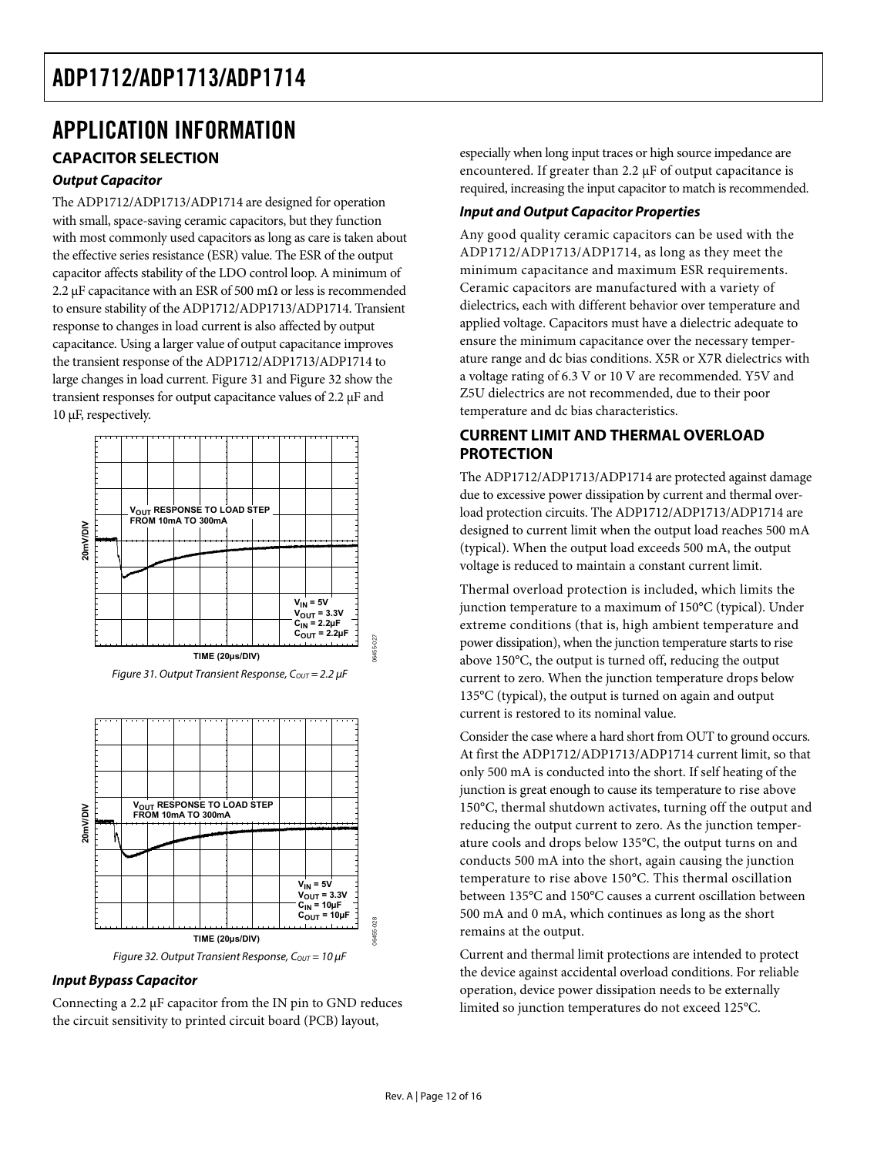### <span id="page-11-1"></span><span id="page-11-0"></span>APPLICATION INFORMATION **CAPACITOR SELECTION**

#### **Output Capacitor**

The ADP1712/ADP1713/ADP1714 are designed for operation with small, space-saving ceramic capacitors, but they function with most commonly used capacitors as long as care is taken about the effective series resistance (ESR) value. The ESR of the output capacitor affects stability of the LDO control loop. A minimum of 2.2 μF capacitance with an ESR of 500 mΩ or less is recommended to ensure stability of the ADP1712/ADP1713/ADP1714. Transient response to changes in load current is also affected by output capacitance. Using a larger value of output capacitance improves the transient response of the ADP1712/ADP1713/ADP1714 to large changes in load current. [Figure 31](#page-11-2) and [Figure 32](#page-11-3) show the transient responses for output capacitance values of 2.2 μF and 10 μF, respectively.





<span id="page-11-2"></span>

#### <span id="page-11-3"></span>**Input Bypass Capacitor**

Connecting a 2.2 μF capacitor from the IN pin to GND reduces the circuit sensitivity to printed circuit board (PCB) layout,

especially when long input traces or high source impedance are encountered. If greater than 2.2 μF of output capacitance is required, increasing the input capacitor to match is recommended.

#### **Input and Output Capacitor Properties**

Any good quality ceramic capacitors can be used with the ADP1712/ADP1713/ADP1714, as long as they meet the minimum capacitance and maximum ESR requirements. Ceramic capacitors are manufactured with a variety of dielectrics, each with different behavior over temperature and applied voltage. Capacitors must have a dielectric adequate to ensure the minimum capacitance over the necessary temperature range and dc bias conditions. X5R or X7R dielectrics with a voltage rating of 6.3 V or 10 V are recommended. Y5V and Z5U dielectrics are not recommended, due to their poor temperature and dc bias characteristics.

#### **CURRENT LIMIT AND THERMAL OVERLOAD PROTECTION**

The ADP1712/ADP1713/ADP1714 are protected against damage due to excessive power dissipation by current and thermal overload protection circuits. The ADP1712/ADP1713/ADP1714 are designed to current limit when the output load reaches 500 mA (typical). When the output load exceeds 500 mA, the output voltage is reduced to maintain a constant current limit.

Thermal overload protection is included, which limits the junction temperature to a maximum of 150°C (typical). Under extreme conditions (that is, high ambient temperature and power dissipation), when the junction temperature starts to rise above 150°C, the output is turned off, reducing the output current to zero. When the junction temperature drops below 135°C (typical), the output is turned on again and output current is restored to its nominal value.

Consider the case where a hard short from OUT to ground occurs. At first the ADP1712/ADP1713/ADP1714 current limit, so that only 500 mA is conducted into the short. If self heating of the junction is great enough to cause its temperature to rise above 150°C, thermal shutdown activates, turning off the output and reducing the output current to zero. As the junction temperature cools and drops below 135°C, the output turns on and conducts 500 mA into the short, again causing the junction temperature to rise above 150°C. This thermal oscillation between 135°C and 150°C causes a current oscillation between 500 mA and 0 mA, which continues as long as the short remains at the output.

Current and thermal limit protections are intended to protect the device against accidental overload conditions. For reliable operation, device power dissipation needs to be externally limited so junction temperatures do not exceed 125°C.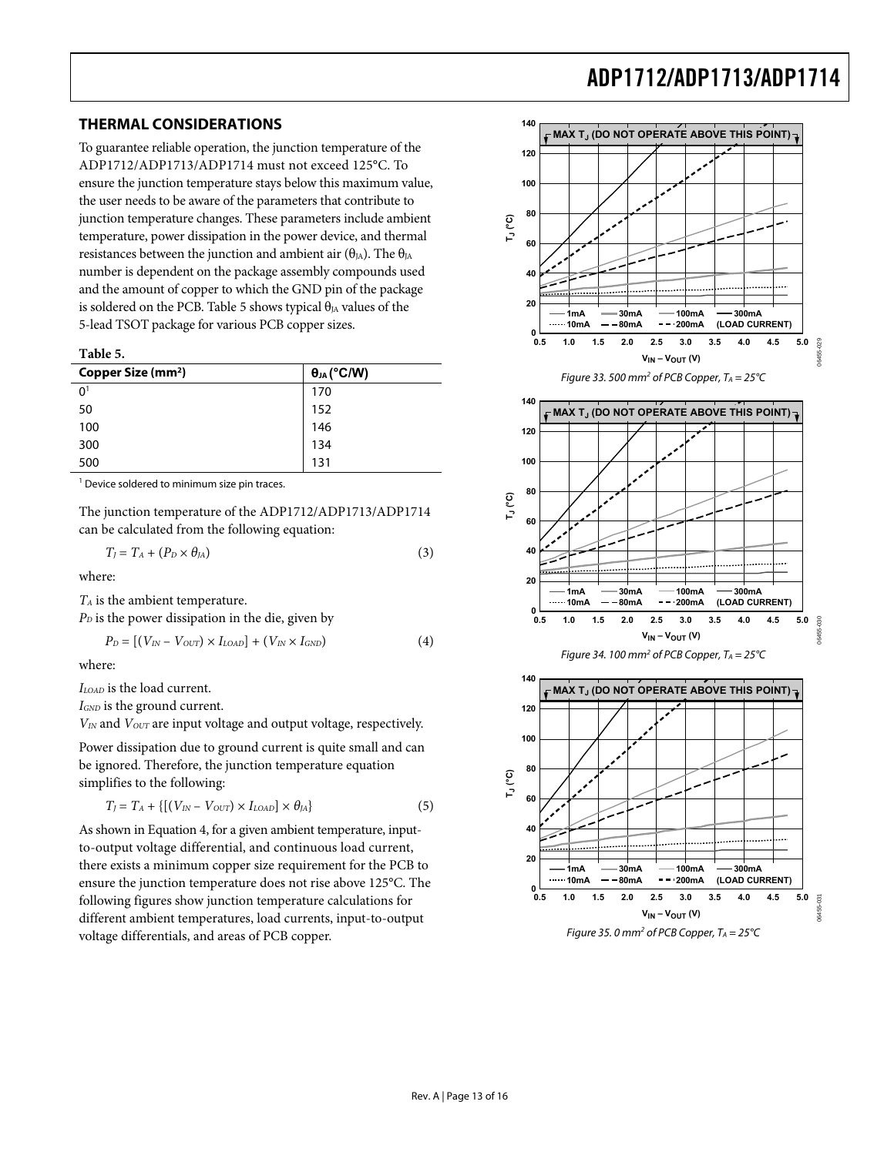#### <span id="page-12-1"></span><span id="page-12-0"></span>**THERMAL CONSIDERATIONS**

To guarantee reliable operation, the junction temperature of the ADP1712/ADP1713/ADP1714 must not exceed 125°C. To ensure the junction temperature stays below this maximum value, the user needs to be aware of the parameters that contribute to junction temperature changes. These parameters include ambient temperature, power dissipation in the power device, and thermal resistances between the junction and ambient air ( $\theta_{IA}$ ). The  $\theta_{IA}$ number is dependent on the package assembly compounds used and the amount of copper to which the GND pin of the package is soldered on the PCB. Table 5 shows typical  $\theta_{JA}$  values of the 5-lead TSOT package for various PCB copper sizes.

| Table 5.                       |                      |
|--------------------------------|----------------------|
| Copper Size (mm <sup>2</sup> ) | $\theta_{JA}$ (°C/W) |
| 0 <sup>1</sup>                 | 170                  |
| 50                             | 152                  |
| 100                            | 146                  |
| 300                            | 134                  |
| 500                            | 131                  |

<sup>1</sup> Device soldered to minimum size pin traces.

The junction temperature of the ADP1712/ADP1713/ADP1714 can be calculated from the following equation:

$$
T_J = T_A + (P_D \times \theta_{JA})
$$
\n(3)

where:

*TA* is the ambient temperature.

 $P<sub>D</sub>$  is the power dissipation in the die, given by

$$
P_D = [(V_{IN} - V_{OUT}) \times I_{LOAD}] + (V_{IN} \times I_{GND}) \tag{4}
$$

where:

*ILOAD* is the load current.

*IGND* is the ground current.

*VIN* and *VOUT* are input voltage and output voltage, respectively.

Power dissipation due to ground current is quite small and can be ignored. Therefore, the junction temperature equation simplifies to the following:

$$
T_J = T_A + \{ [(V_{IN} - V_{OUT}) \times I_{LOAD}] \times \theta_{JA} \}
$$
 (5)

As shown in Equation 4, for a given ambient temperature, inputto-output voltage differential, and continuous load current, there exists a minimum copper size requirement for the PCB to ensure the junction temperature does not rise above 125°C. The following figures show junction temperature calculations for different ambient temperatures, load currents, input-to-output voltage differentials, and areas of PCB copper.

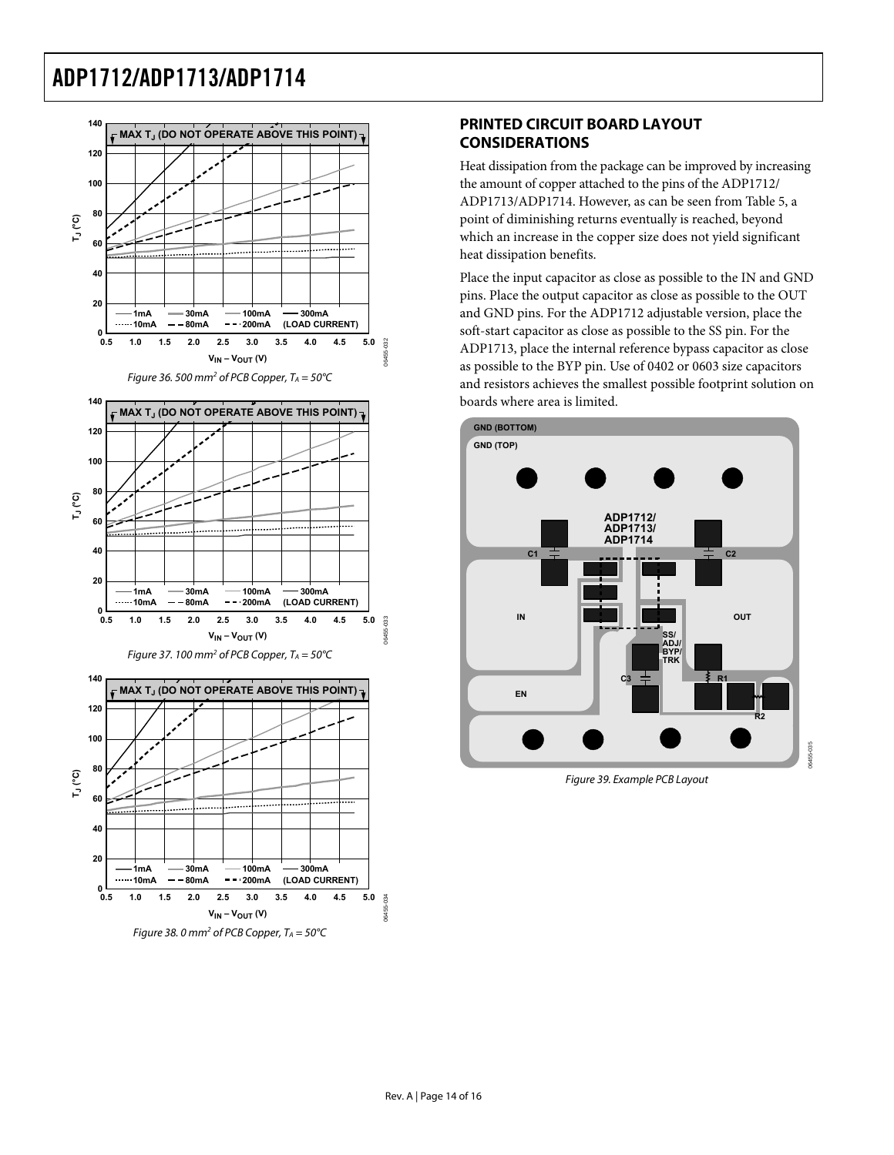<span id="page-13-0"></span>

### **PRINTED CIRCUIT BOARD LAYOUT CONSIDERATIONS**

Heat dissipation from the package can be improved by increasing the amount of copper attached to the pins of the ADP1712/ ADP1713/ADP1714. However, as can be seen from [Table 5, a](#page-12-1) point of diminishing returns eventually is reached, beyond which an increase in the copper size does not yield significant heat dissipation benefits.

Place the input capacitor as close as possible to the IN and GND pins. Place the output capacitor as close as possible to the OUT and GND pins. For the ADP1712 adjustable version, place the soft-start capacitor as close as possible to the SS pin. For the ADP1713, place the internal reference bypass capacitor as close as possible to the BYP pin. Use of 0402 or 0603 size capacitors and resistors achieves the smallest possible footprint solution on boards where area is limited.



Figure 39. Example PCB Layout

06455-035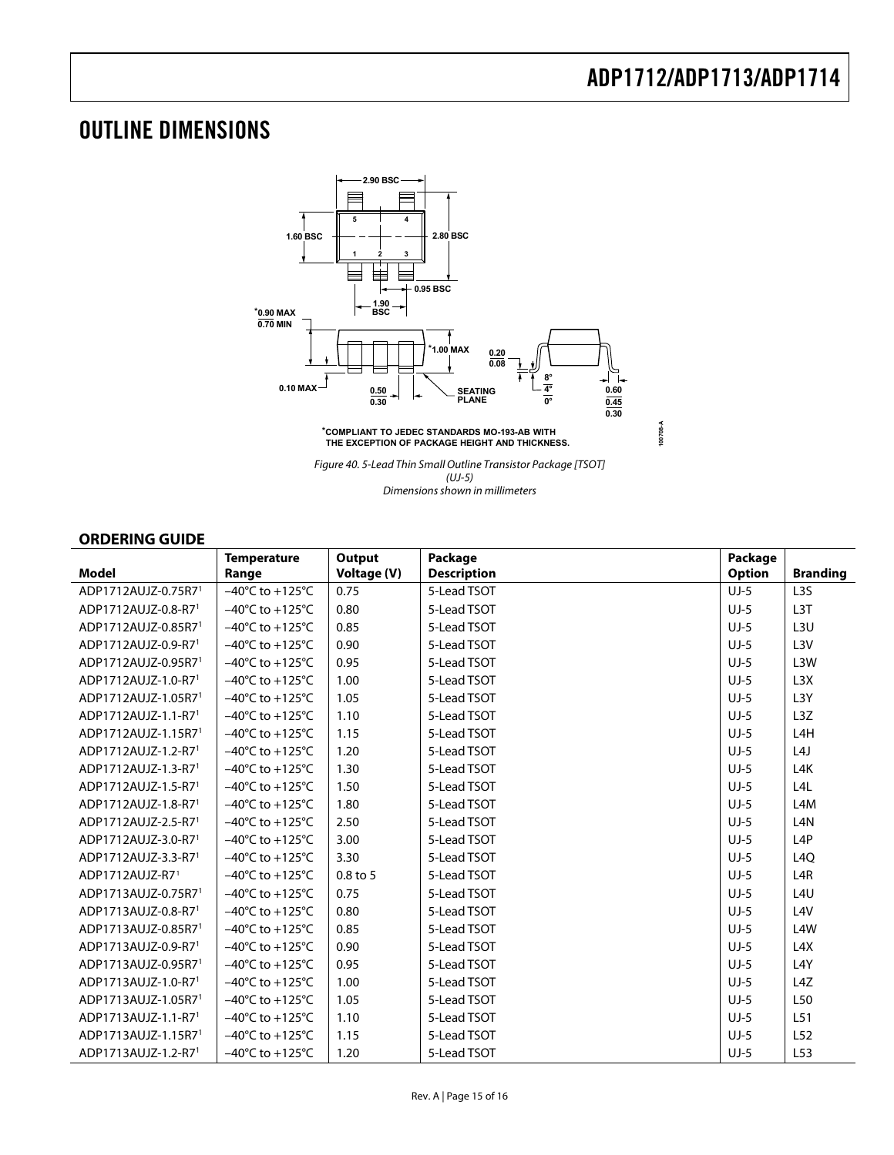## <span id="page-14-1"></span><span id="page-14-0"></span>OUTLINE DIMENSIONS



Dimensions shown in millimeters

#### **ORDERING GUIDE**

|                                 | <b>Temperature</b>                   | Output      | Package            | Package       |                  |
|---------------------------------|--------------------------------------|-------------|--------------------|---------------|------------------|
| <b>Model</b>                    | Range                                | Voltage (V) | <b>Description</b> | <b>Option</b> | <b>Branding</b>  |
| ADP1712AUJZ-0.75R71             | $-40^{\circ}$ C to $+125^{\circ}$ C  | 0.75        | 5-Lead TSOT        | $UJ-5$        | L <sub>3</sub> S |
| ADP1712AUJZ-0.8-R71             | $-40^{\circ}$ C to $+125^{\circ}$ C  | 0.80        | 5-Lead TSOT        | $UJ-5$        | L <sub>3</sub> T |
| ADP1712AUJZ-0.85R71             | $-40^{\circ}$ C to $+125^{\circ}$ C  | 0.85        | 5-Lead TSOT        | $UJ-5$        | L3U              |
| ADP1712AUJZ-0.9-R71             | $-40^{\circ}$ C to $+125^{\circ}$ C  | 0.90        | 5-Lead TSOT        | $UJ-5$        | L3V              |
| ADP1712AUJZ-0.95R71             | $-40^{\circ}$ C to $+125^{\circ}$ C  | 0.95        | 5-Lead TSOT        | $UJ-5$        | L3W              |
| ADP1712AUJZ-1.0-R71             | $-40^{\circ}$ C to $+125^{\circ}$ C  | 1.00        | 5-Lead TSOT        | $UJ-5$        | L3X              |
| ADP1712AUJZ-1.05R71             | $-40^{\circ}$ C to $+125^{\circ}$ C  | 1.05        | 5-Lead TSOT        | $UJ-5$        | L <sub>3</sub> Y |
| ADP1712AUJZ-1.1-R7 <sup>1</sup> | $-40^{\circ}$ C to $+125^{\circ}$ C  | 1.10        | 5-Lead TSOT        | $UJ-5$        | L3Z              |
| ADP1712AUJZ-1.15R7 <sup>1</sup> | $-40^{\circ}$ C to $+125^{\circ}$ C  | 1.15        | 5-Lead TSOT        | $UJ-5$        | L <sub>4</sub> H |
| ADP1712AUJZ-1.2-R71             | $-40^{\circ}$ C to $+125^{\circ}$ C  | 1.20        | 5-Lead TSOT        | $UJ-5$        | L4J              |
| ADP1712AUJZ-1.3-R7 <sup>1</sup> | $-40^{\circ}$ C to $+125^{\circ}$ C  | 1.30        | 5-Lead TSOT        | $UJ-5$        | L4K              |
| ADP1712AUJZ-1.5-R71             | $-40^{\circ}$ C to $+125^{\circ}$ C  | 1.50        | 5-Lead TSOT        | $UJ-5$        | L4L              |
| ADP1712AUJZ-1.8-R71             | $-40^{\circ}$ C to $+125^{\circ}$ C  | 1.80        | 5-Lead TSOT        | $UJ-5$        | L <sub>4</sub> M |
| ADP1712AUJZ-2.5-R71             | $-40^{\circ}$ C to +125 $^{\circ}$ C | 2.50        | 5-Lead TSOT        | $UJ-5$        | L <sub>4</sub> N |
| ADP1712AUJZ-3.0-R71             | $-40^{\circ}$ C to $+125^{\circ}$ C  | 3.00        | 5-Lead TSOT        | $UJ-5$        | L <sub>4</sub> P |
| ADP1712AUJZ-3.3-R71             | $-40^{\circ}$ C to $+125^{\circ}$ C  | 3.30        | 5-Lead TSOT        | $UJ-5$        | L <sub>4Q</sub>  |
| ADP1712AUJZ-R71                 | $-40^{\circ}$ C to $+125^{\circ}$ C  | $0.8$ to 5  | 5-Lead TSOT        | $UJ-5$        | L4R              |
| ADP1713AUJZ-0.75R71             | $-40^{\circ}$ C to $+125^{\circ}$ C  | 0.75        | 5-Lead TSOT        | $UJ-5$        | L4U              |
| ADP1713AUJZ-0.8-R71             | $-40^{\circ}$ C to $+125^{\circ}$ C  | 0.80        | 5-Lead TSOT        | $UJ-5$        | L <sub>4V</sub>  |
| ADP1713AUJZ-0.85R71             | $-40^{\circ}$ C to $+125^{\circ}$ C  | 0.85        | 5-Lead TSOT        | $UJ-5$        | L <sub>4</sub> W |
| ADP1713AUJZ-0.9-R71             | $-40^{\circ}$ C to $+125^{\circ}$ C  | 0.90        | 5-Lead TSOT        | $UJ-5$        | L4X              |
| ADP1713AUJZ-0.95R71             | $-40^{\circ}$ C to $+125^{\circ}$ C  | 0.95        | 5-Lead TSOT        | $UJ-5$        | L4Y              |
| ADP1713AUJZ-1.0-R71             | $-40^{\circ}$ C to $+125^{\circ}$ C  | 1.00        | 5-Lead TSOT        | $UJ-5$        | L4Z              |
| ADP1713AUJZ-1.05R71             | $-40^{\circ}$ C to $+125^{\circ}$ C  | 1.05        | 5-Lead TSOT        | $UJ-5$        | L50              |
| ADP1713AUJZ-1.1-R7 <sup>1</sup> | $-40^{\circ}$ C to $+125^{\circ}$ C  | 1.10        | 5-Lead TSOT        | $UJ-5$        | L51              |
| ADP1713AUJZ-1.15R7 <sup>1</sup> | $-40^{\circ}$ C to $+125^{\circ}$ C  | 1.15        | 5-Lead TSOT        | $UJ-5$        | L <sub>52</sub>  |
| ADP1713AUJZ-1.2-R71             | $-40^{\circ}$ C to $+125^{\circ}$ C  | 1.20        | 5-Lead TSOT        | $UJ-5$        | L53              |